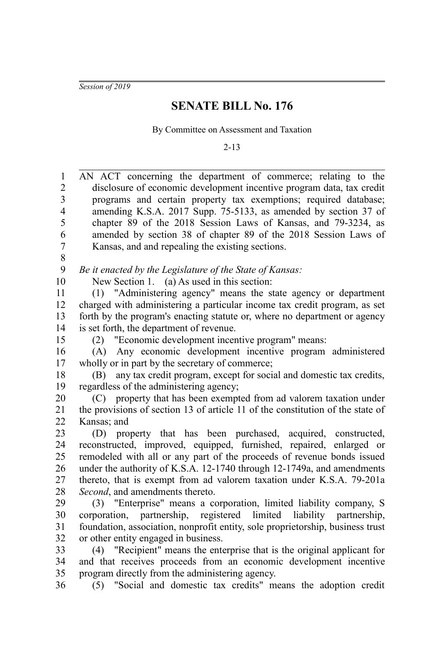*Session of 2019*

## **SENATE BILL No. 176**

By Committee on Assessment and Taxation

2-13

| $\mathbf{1}$<br>$\overline{2}$ | AN ACT concerning the department of commerce; relating to the<br>disclosure of economic development incentive program data, tax credit       |
|--------------------------------|----------------------------------------------------------------------------------------------------------------------------------------------|
| $\mathfrak{Z}$                 | programs and certain property tax exemptions; required database;                                                                             |
| $\overline{4}$                 | amending K.S.A. 2017 Supp. 75-5133, as amended by section 37 of                                                                              |
| 5                              | chapter 89 of the 2018 Session Laws of Kansas, and 79-3234, as                                                                               |
| 6                              | amended by section 38 of chapter 89 of the 2018 Session Laws of                                                                              |
| $\overline{7}$                 | Kansas, and and repealing the existing sections.                                                                                             |
| 8                              |                                                                                                                                              |
| 9                              | Be it enacted by the Legislature of the State of Kansas:                                                                                     |
| 10                             | New Section 1. (a) As used in this section:                                                                                                  |
| 11                             | (1) "Administering agency" means the state agency or department                                                                              |
| 12                             | charged with administering a particular income tax credit program, as set                                                                    |
| 13                             | forth by the program's enacting statute or, where no department or agency                                                                    |
| 14                             | is set forth, the department of revenue.                                                                                                     |
| 15                             | "Economic development incentive program" means:<br>(2)                                                                                       |
| 16                             | (A) Any economic development incentive program administered                                                                                  |
| 17                             | wholly or in part by the secretary of commerce;                                                                                              |
| 18                             | any tax credit program, except for social and domestic tax credits,<br>(B)                                                                   |
| 19                             | regardless of the administering agency;                                                                                                      |
| 20                             | (C) property that has been exempted from ad valorem taxation under                                                                           |
| 21                             | the provisions of section 13 of article 11 of the constitution of the state of                                                               |
| 22                             | Kansas; and                                                                                                                                  |
| 23                             | (D) property that has been purchased, acquired, constructed,                                                                                 |
| 24                             | reconstructed, improved, equipped, furnished, repaired, enlarged or                                                                          |
| 25                             | remodeled with all or any part of the proceeds of revenue bonds issued                                                                       |
| 26                             | under the authority of K.S.A. 12-1740 through 12-1749a, and amendments                                                                       |
| 27                             | thereto, that is exempt from ad valorem taxation under K.S.A. 79-201a                                                                        |
| 28                             | Second, and amendments thereto.                                                                                                              |
| 29                             | (3) "Enterprise" means a corporation, limited liability company, S                                                                           |
| 30                             | corporation, partnership, registered limited liability partnership,                                                                          |
| 31                             | foundation, association, nonprofit entity, sole proprietorship, business trust                                                               |
| 32                             | or other entity engaged in business.                                                                                                         |
| 33<br>34                       | (4) "Recipient" means the enterprise that is the original applicant for<br>and that receives proceeds from an economic development incentive |
| 35                             | program directly from the administering agency.                                                                                              |
| 36                             | (5) "Social and domestic tax credits" means the adoption credit                                                                              |
|                                |                                                                                                                                              |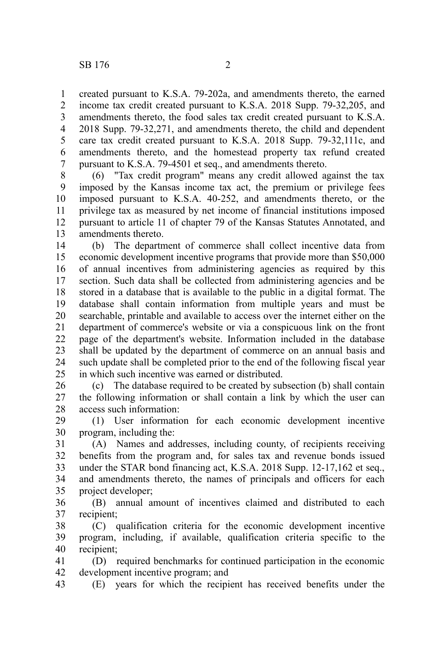created pursuant to K.S.A. 79-202a, and amendments thereto, the earned income tax credit created pursuant to K.S.A. 2018 Supp. 79-32,205, and amendments thereto, the food sales tax credit created pursuant to K.S.A. 2018 Supp. 79-32,271, and amendments thereto, the child and dependent care tax credit created pursuant to K.S.A. 2018 Supp. 79-32,111c, and amendments thereto, and the homestead property tax refund created pursuant to K.S.A. 79-4501 et seq., and amendments thereto. 1 2 3 4 5 6 7

(6) "Tax credit program" means any credit allowed against the tax imposed by the Kansas income tax act, the premium or privilege fees imposed pursuant to K.S.A. 40-252, and amendments thereto, or the privilege tax as measured by net income of financial institutions imposed pursuant to article 11 of chapter 79 of the Kansas Statutes Annotated, and amendments thereto. 8 9 10 11 12 13

(b) The department of commerce shall collect incentive data from economic development incentive programs that provide more than \$50,000 of annual incentives from administering agencies as required by this section. Such data shall be collected from administering agencies and be stored in a database that is available to the public in a digital format. The database shall contain information from multiple years and must be searchable, printable and available to access over the internet either on the department of commerce's website or via a conspicuous link on the front page of the department's website. Information included in the database shall be updated by the department of commerce on an annual basis and such update shall be completed prior to the end of the following fiscal year in which such incentive was earned or distributed. 14 15 16 17 18 19 20 21 22 23 24 25

(c) The database required to be created by subsection (b) shall contain the following information or shall contain a link by which the user can access such information: 26 27 28

(1) User information for each economic development incentive program, including the: 29 30

(A) Names and addresses, including county, of recipients receiving benefits from the program and, for sales tax and revenue bonds issued under the STAR bond financing act, K.S.A. 2018 Supp. 12-17,162 et seq., and amendments thereto, the names of principals and officers for each project developer; 31 32 33 34 35

(B) annual amount of incentives claimed and distributed to each recipient; 36 37

(C) qualification criteria for the economic development incentive program, including, if available, qualification criteria specific to the recipient; 38 39 40

(D) required benchmarks for continued participation in the economic development incentive program; and 41 42

(E) years for which the recipient has received benefits under the 43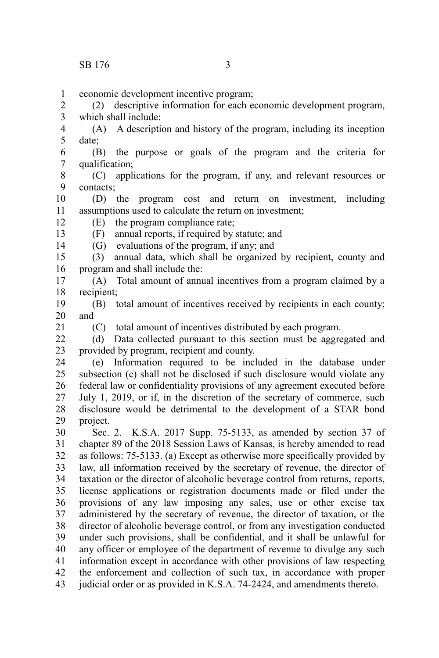economic development incentive program; 1

(2) descriptive information for each economic development program, which shall include: 2 3

(A) A description and history of the program, including its inception date; 4 5

(B) the purpose or goals of the program and the criteria for qualification; 6 7

(C) applications for the program, if any, and relevant resources or contacts; 8 9

(D) the program cost and return on investment, including assumptions used to calculate the return on investment; 10 11

(E) the program compliance rate;

(F) annual reports, if required by statute; and

(G) evaluations of the program, if any; and

(3) annual data, which shall be organized by recipient, county and program and shall include the: 15 16

(A) Total amount of annual incentives from a program claimed by a recipient; 17 18

(B) total amount of incentives received by recipients in each county; and 19 20

21

12 13 14

(C) total amount of incentives distributed by each program.

(d) Data collected pursuant to this section must be aggregated and provided by program, recipient and county.  $22$ 23

(e) Information required to be included in the database under subsection (c) shall not be disclosed if such disclosure would violate any federal law or confidentiality provisions of any agreement executed before July 1, 2019, or if, in the discretion of the secretary of commerce, such disclosure would be detrimental to the development of a STAR bond project. 24 25 26 27 28 29

Sec. 2. K.S.A. 2017 Supp. 75-5133, as amended by section 37 of chapter 89 of the 2018 Session Laws of Kansas, is hereby amended to read as follows: 75-5133. (a) Except as otherwise more specifically provided by law, all information received by the secretary of revenue, the director of taxation or the director of alcoholic beverage control from returns, reports, license applications or registration documents made or filed under the provisions of any law imposing any sales, use or other excise tax administered by the secretary of revenue, the director of taxation, or the director of alcoholic beverage control, or from any investigation conducted under such provisions, shall be confidential, and it shall be unlawful for any officer or employee of the department of revenue to divulge any such information except in accordance with other provisions of law respecting the enforcement and collection of such tax, in accordance with proper judicial order or as provided in K.S.A. 74-2424, and amendments thereto. 30 31 32 33 34 35 36 37 38 39 40 41 42 43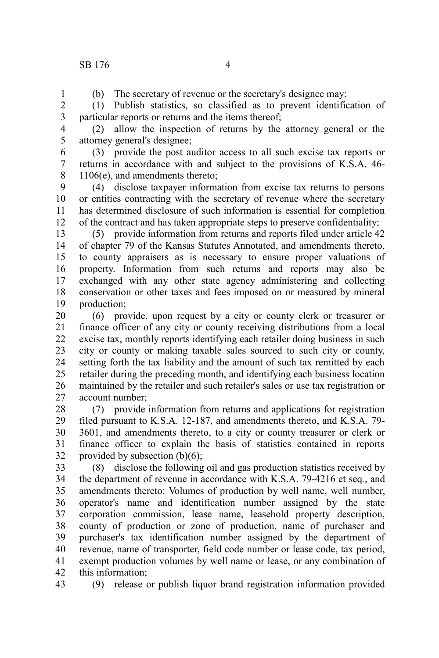1

(b) The secretary of revenue or the secretary's designee may:

(1) Publish statistics, so classified as to prevent identification of particular reports or returns and the items thereof; 2 3

(2) allow the inspection of returns by the attorney general or the attorney general's designee; 4 5

(3) provide the post auditor access to all such excise tax reports or returns in accordance with and subject to the provisions of K.S.A. 46- 1106(e), and amendments thereto; 6 7 8

(4) disclose taxpayer information from excise tax returns to persons or entities contracting with the secretary of revenue where the secretary has determined disclosure of such information is essential for completion of the contract and has taken appropriate steps to preserve confidentiality; 9 10 11 12

(5) provide information from returns and reports filed under article 42 of chapter 79 of the Kansas Statutes Annotated, and amendments thereto, to county appraisers as is necessary to ensure proper valuations of property. Information from such returns and reports may also be exchanged with any other state agency administering and collecting conservation or other taxes and fees imposed on or measured by mineral production; 13 14 15 16 17 18 19

(6) provide, upon request by a city or county clerk or treasurer or finance officer of any city or county receiving distributions from a local excise tax, monthly reports identifying each retailer doing business in such city or county or making taxable sales sourced to such city or county, setting forth the tax liability and the amount of such tax remitted by each retailer during the preceding month, and identifying each business location maintained by the retailer and such retailer's sales or use tax registration or account number; 20 21 22 23 24 25 26 27

(7) provide information from returns and applications for registration filed pursuant to K.S.A. 12-187, and amendments thereto, and K.S.A. 79- 3601, and amendments thereto, to a city or county treasurer or clerk or finance officer to explain the basis of statistics contained in reports provided by subsection  $(b)(6)$ ; 28 29 30 31 32

(8) disclose the following oil and gas production statistics received by the department of revenue in accordance with K.S.A. 79-4216 et seq*.*, and amendments thereto: Volumes of production by well name, well number, operator's name and identification number assigned by the state corporation commission, lease name, leasehold property description, county of production or zone of production, name of purchaser and purchaser's tax identification number assigned by the department of revenue, name of transporter, field code number or lease code, tax period, exempt production volumes by well name or lease, or any combination of this information; 33 34 35 36 37 38 39 40 41 42

(9) release or publish liquor brand registration information provided 43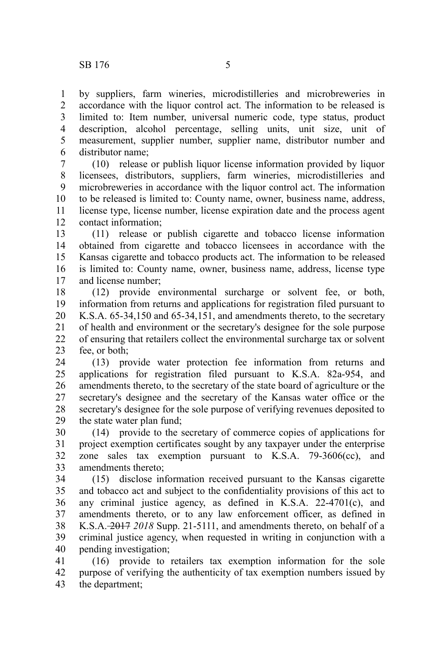by suppliers, farm wineries, microdistilleries and microbreweries in accordance with the liquor control act. The information to be released is limited to: Item number, universal numeric code, type status, product description, alcohol percentage, selling units, unit size, unit of measurement, supplier number, supplier name, distributor number and distributor name; 1 2 3 4 5 6

(10) release or publish liquor license information provided by liquor licensees, distributors, suppliers, farm wineries, microdistilleries and microbreweries in accordance with the liquor control act. The information to be released is limited to: County name, owner, business name, address, license type, license number, license expiration date and the process agent contact information; 7 8 9 10 11 12

(11) release or publish cigarette and tobacco license information obtained from cigarette and tobacco licensees in accordance with the Kansas cigarette and tobacco products act. The information to be released is limited to: County name, owner, business name, address, license type and license number; 13 14 15 16 17

(12) provide environmental surcharge or solvent fee, or both, information from returns and applications for registration filed pursuant to K.S.A. 65-34,150 and 65-34,151, and amendments thereto, to the secretary of health and environment or the secretary's designee for the sole purpose of ensuring that retailers collect the environmental surcharge tax or solvent fee, or both; 18 19 20 21 22 23

(13) provide water protection fee information from returns and applications for registration filed pursuant to K.S.A. 82a-954, and amendments thereto, to the secretary of the state board of agriculture or the secretary's designee and the secretary of the Kansas water office or the secretary's designee for the sole purpose of verifying revenues deposited to the state water plan fund; 24 25 26 27 28 29

(14) provide to the secretary of commerce copies of applications for project exemption certificates sought by any taxpayer under the enterprise zone sales tax exemption pursuant to K.S.A. 79-3606(cc), and amendments thereto; 30 31 32 33

(15) disclose information received pursuant to the Kansas cigarette and tobacco act and subject to the confidentiality provisions of this act to any criminal justice agency, as defined in K.S.A. 22-4701(c), and amendments thereto, or to any law enforcement officer, as defined in K.S.A. 2017 *2018* Supp. 21-5111, and amendments thereto, on behalf of a criminal justice agency, when requested in writing in conjunction with a pending investigation; 34 35 36 37 38 39 40

(16) provide to retailers tax exemption information for the sole purpose of verifying the authenticity of tax exemption numbers issued by the department; 41 42 43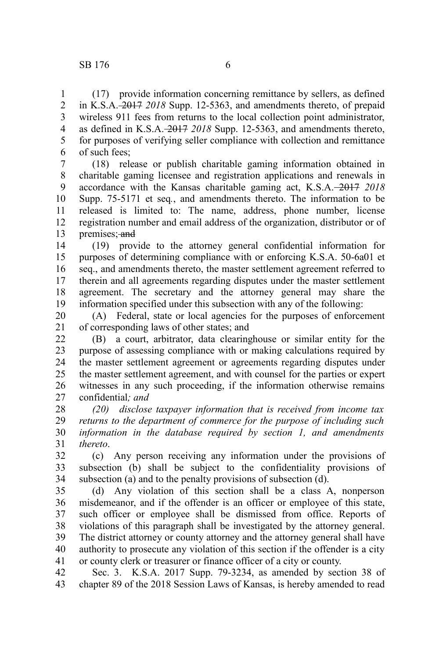(17) provide information concerning remittance by sellers, as defined in K.S.A. 2017 *2018* Supp. 12-5363, and amendments thereto, of prepaid wireless 911 fees from returns to the local collection point administrator, as defined in K.S.A. 2017 *2018* Supp. 12-5363, and amendments thereto, for purposes of verifying seller compliance with collection and remittance of such fees; 1 2 3 4 5 6

(18) release or publish charitable gaming information obtained in charitable gaming licensee and registration applications and renewals in accordance with the Kansas charitable gaming act, K.S.A. 2017 *2018* Supp. 75-5171 et seq*.*, and amendments thereto. The information to be released is limited to: The name, address, phone number, license registration number and email address of the organization, distributor or of premises; and 7 8 9 10 11 12 13

(19) provide to the attorney general confidential information for purposes of determining compliance with or enforcing K.S.A. 50-6a01 et seq., and amendments thereto, the master settlement agreement referred to therein and all agreements regarding disputes under the master settlement agreement. The secretary and the attorney general may share the information specified under this subsection with any of the following: 14 15 16 17 18 19

(A) Federal, state or local agencies for the purposes of enforcement of corresponding laws of other states; and 20 21

(B) a court, arbitrator, data clearinghouse or similar entity for the purpose of assessing compliance with or making calculations required by the master settlement agreement or agreements regarding disputes under the master settlement agreement, and with counsel for the parties or expert witnesses in any such proceeding, if the information otherwise remains confidential*; and* 22 23 24 25 26 27

*(20) disclose taxpayer information that is received from income tax returns to the department of commerce for the purpose of including such information in the database required by section 1, and amendments thereto*. 28 29 30 31

(c) Any person receiving any information under the provisions of subsection (b) shall be subject to the confidentiality provisions of subsection (a) and to the penalty provisions of subsection (d). 32 33 34

(d) Any violation of this section shall be a class A, nonperson misdemeanor, and if the offender is an officer or employee of this state, such officer or employee shall be dismissed from office. Reports of violations of this paragraph shall be investigated by the attorney general. The district attorney or county attorney and the attorney general shall have authority to prosecute any violation of this section if the offender is a city or county clerk or treasurer or finance officer of a city or county. 35 36 37 38 39 40 41

Sec. 3. K.S.A. 2017 Supp. 79-3234, as amended by section 38 of chapter 89 of the 2018 Session Laws of Kansas, is hereby amended to read 42 43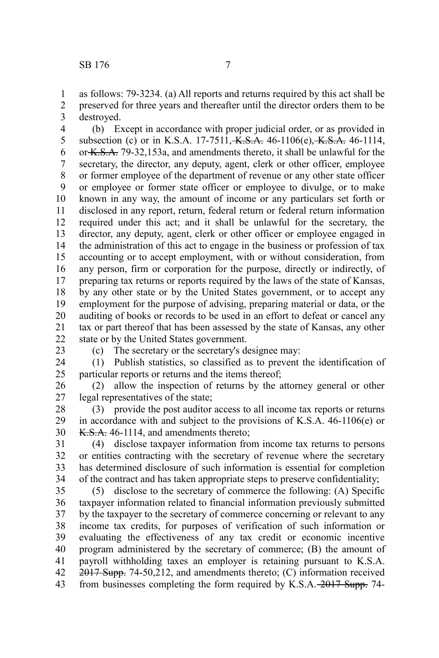as follows: 79-3234. (a) All reports and returns required by this act shall be preserved for three years and thereafter until the director orders them to be destroyed. 1 2 3

(b) Except in accordance with proper judicial order, or as provided in subsection (c) or in K.S.A. 17-7511, K.S.A. 46-1106(e), K.S.A. 46-1114, or K.S.A. 79-32,153a, and amendments thereto, it shall be unlawful for the secretary, the director, any deputy, agent, clerk or other officer, employee or former employee of the department of revenue or any other state officer or employee or former state officer or employee to divulge, or to make known in any way, the amount of income or any particulars set forth or disclosed in any report, return, federal return or federal return information required under this act; and it shall be unlawful for the secretary, the director, any deputy, agent, clerk or other officer or employee engaged in the administration of this act to engage in the business or profession of tax accounting or to accept employment, with or without consideration, from any person, firm or corporation for the purpose, directly or indirectly, of preparing tax returns or reports required by the laws of the state of Kansas, by any other state or by the United States government, or to accept any employment for the purpose of advising, preparing material or data, or the auditing of books or records to be used in an effort to defeat or cancel any tax or part thereof that has been assessed by the state of Kansas, any other state or by the United States government. 4 5 6 7 8 9 10 11 12 13 14 15 16 17 18 19 20 21 22

23

(c) The secretary or the secretary's designee may:

(1) Publish statistics, so classified as to prevent the identification of particular reports or returns and the items thereof; 24 25

(2) allow the inspection of returns by the attorney general or other legal representatives of the state; 26 27

(3) provide the post auditor access to all income tax reports or returns in accordance with and subject to the provisions of K.S.A. 46-1106(e) or K.S.A. 46-1114, and amendments thereto; 28 29 30

(4) disclose taxpayer information from income tax returns to persons or entities contracting with the secretary of revenue where the secretary has determined disclosure of such information is essential for completion of the contract and has taken appropriate steps to preserve confidentiality; 31 32 33 34

(5) disclose to the secretary of commerce the following: (A) Specific taxpayer information related to financial information previously submitted by the taxpayer to the secretary of commerce concerning or relevant to any income tax credits, for purposes of verification of such information or evaluating the effectiveness of any tax credit or economic incentive program administered by the secretary of commerce; (B) the amount of payroll withholding taxes an employer is retaining pursuant to K.S.A.  $2017$  Supp. 74-50,212, and amendments thereto; (C) information received from businesses completing the form required by K.S.A. 2017 Supp. 74- 35 36 37 38 39 40 41 42 43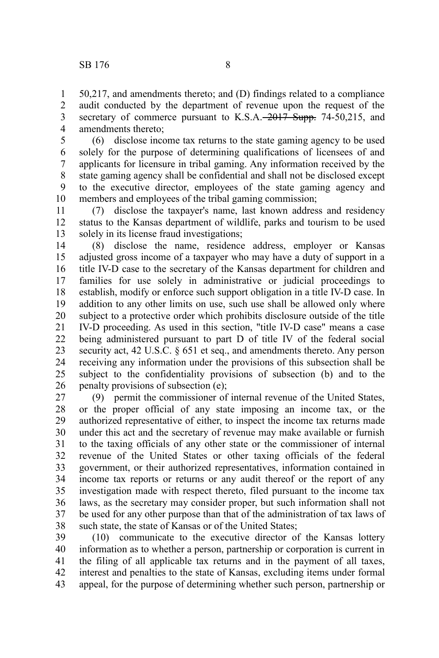50,217, and amendments thereto; and (D) findings related to a compliance audit conducted by the department of revenue upon the request of the secretary of commerce pursuant to K.S.A. 2017 Supp. 74-50,215, and amendments thereto; 1 2 3 4

(6) disclose income tax returns to the state gaming agency to be used solely for the purpose of determining qualifications of licensees of and applicants for licensure in tribal gaming. Any information received by the state gaming agency shall be confidential and shall not be disclosed except to the executive director, employees of the state gaming agency and members and employees of the tribal gaming commission; 5 6 7 8 9 10

(7) disclose the taxpayer's name, last known address and residency status to the Kansas department of wildlife, parks and tourism to be used solely in its license fraud investigations; 11 12 13

(8) disclose the name, residence address, employer or Kansas adjusted gross income of a taxpayer who may have a duty of support in a title IV-D case to the secretary of the Kansas department for children and families for use solely in administrative or judicial proceedings to establish, modify or enforce such support obligation in a title IV-D case. In addition to any other limits on use, such use shall be allowed only where subject to a protective order which prohibits disclosure outside of the title IV-D proceeding. As used in this section, "title IV-D case" means a case being administered pursuant to part D of title IV of the federal social security act, 42 U.S.C. § 651 et seq., and amendments thereto. Any person receiving any information under the provisions of this subsection shall be subject to the confidentiality provisions of subsection (b) and to the penalty provisions of subsection (e); 14 15 16 17 18 19 20 21 22 23 24 25 26

(9) permit the commissioner of internal revenue of the United States, or the proper official of any state imposing an income tax, or the authorized representative of either, to inspect the income tax returns made under this act and the secretary of revenue may make available or furnish to the taxing officials of any other state or the commissioner of internal revenue of the United States or other taxing officials of the federal government, or their authorized representatives, information contained in income tax reports or returns or any audit thereof or the report of any investigation made with respect thereto, filed pursuant to the income tax laws, as the secretary may consider proper, but such information shall not be used for any other purpose than that of the administration of tax laws of such state, the state of Kansas or of the United States; 27 28 29 30 31 32 33 34 35 36 37 38

(10) communicate to the executive director of the Kansas lottery information as to whether a person, partnership or corporation is current in the filing of all applicable tax returns and in the payment of all taxes, interest and penalties to the state of Kansas, excluding items under formal appeal, for the purpose of determining whether such person, partnership or 39 40 41 42 43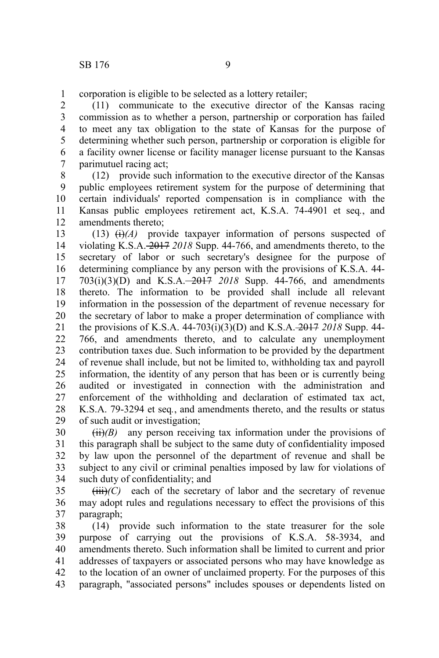corporation is eligible to be selected as a lottery retailer; 1

(11) communicate to the executive director of the Kansas racing commission as to whether a person, partnership or corporation has failed to meet any tax obligation to the state of Kansas for the purpose of determining whether such person, partnership or corporation is eligible for a facility owner license or facility manager license pursuant to the Kansas parimutuel racing act; 2 3 4 5 6 7

(12) provide such information to the executive director of the Kansas public employees retirement system for the purpose of determining that certain individuals' reported compensation is in compliance with the Kansas public employees retirement act, K.S.A. 74-4901 et seq*.*, and amendments thereto; 8 9 10 11 12

(13)  $\leftrightarrow$  (i)<sup>(A)</sup> provide taxpayer information of persons suspected of violating K.S.A. 2017 *2018* Supp. 44-766, and amendments thereto, to the secretary of labor or such secretary's designee for the purpose of determining compliance by any person with the provisions of K.S.A. 44- 703(i)(3)(D) and K.S.A. 2017 *2018* Supp. 44-766, and amendments thereto. The information to be provided shall include all relevant information in the possession of the department of revenue necessary for the secretary of labor to make a proper determination of compliance with the provisions of K.S.A. 44-703(i)(3)(D) and K.S.A. 2017 *2018* Supp. 44- 766, and amendments thereto, and to calculate any unemployment contribution taxes due. Such information to be provided by the department of revenue shall include, but not be limited to, withholding tax and payroll information, the identity of any person that has been or is currently being audited or investigated in connection with the administration and enforcement of the withholding and declaration of estimated tax act, K.S.A. 79-3294 et seq*.*, and amendments thereto, and the results or status of such audit or investigation; 13 14 15 16 17 18 19 20 21 22 23 24 25 26 27 28 29

 $(ii)(B)$  any person receiving tax information under the provisions of this paragraph shall be subject to the same duty of confidentiality imposed by law upon the personnel of the department of revenue and shall be subject to any civil or criminal penalties imposed by law for violations of such duty of confidentiality; and 30 31 32 33 34

 $(iii)$ *(C)* each of the secretary of labor and the secretary of revenue may adopt rules and regulations necessary to effect the provisions of this paragraph; 35 36 37

(14) provide such information to the state treasurer for the sole purpose of carrying out the provisions of K.S.A. 58-3934, and amendments thereto. Such information shall be limited to current and prior addresses of taxpayers or associated persons who may have knowledge as to the location of an owner of unclaimed property. For the purposes of this paragraph, "associated persons" includes spouses or dependents listed on 38 39 40 41 42 43